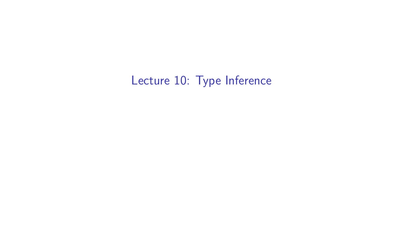Lecture 10: Type Inference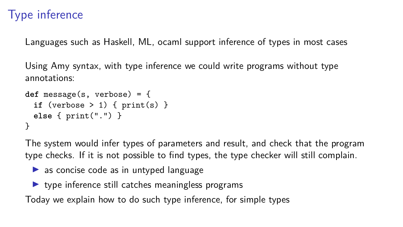Languages such as Haskell, ML, ocaml support inference of types in most cases

Using Amy syntax, with type inference we could write programs without type annotations:

```
def message(s, verbose) = {
 if (verbose > 1) { print(s) }
 else { print(".") }
}
```
The system would infer types of parameters and result, and check that the program type checks. If it is not possible to find types, the type checker will still complain.

- $\triangleright$  as concise code as in untyped language
- $\triangleright$  type inference still catches meaningless programs

Today we explain how to do such type inference, for simple types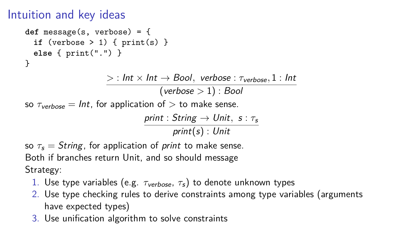## Intuition and key ideas

```
def message(s, verbose) = {
 if (verbose > 1) { print(s) }
 else { print(".") }
}
```
 $>$  : Int  $\times$  Int  $\rightarrow$  Bool, verbose :  $\tau_{\text{verbose}}$ , 1 : Int (verbose *>* 1) : Bool

so  $\tau_{\text{verbose}} = \text{Int}$ , for application of  $>$  to make sense.

print : String → Unit*,* s : *τ*<sup>s</sup> print(s) : Unit

so  $\tau_s =$  String, for application of *print* to make sense. Both if branches return Unit, and so should message Strategy:

- 1. Use type variables (e.g.  $\tau_{\text{verbose}}$ ,  $\tau_s$ ) to denote unknown types
- 2. Use type checking rules to derive constraints among type variables (arguments have expected types)
- 3. Use unification algorithm to solve constraints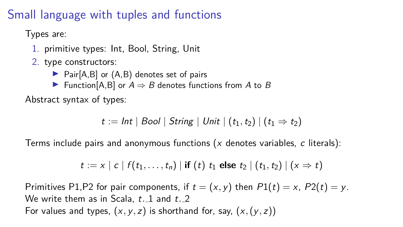# Small language with tuples and functions

Types are:

- 1. primitive types: Int, Bool, String, Unit
- 2. type constructors:
	- $\triangleright$  Pair[A,B] or  $(A, B)$  denotes set of pairs
	- ► Function[A,B] or  $A \Rightarrow B$  denotes functions from A to B

Abstract syntax of types:

$$
t := \mathit{Int} \mid \mathit{Bool} \mid \mathit{String} \mid \mathit{Unit} \mid (t_1, t_2) \mid (t_1 \Rightarrow t_2)
$$

Terms include pairs and anonymous functions  $(x)$  denotes variables, c literals):

$$
t := x | c | f(t_1,...,t_n) |
$$
 if  $(t) t_1$  else  $t_2 | (t_1,t_2) | (x \Rightarrow t)$ 

Primitives P1,P2 for pair components, if  $t = (x, y)$  then  $P1(t) = x$ ,  $P2(t) = y$ . We write them as in Scala, t*.* 1 and t*.* 2 For values and types,  $(x, y, z)$  is shorthand for, say,  $(x, (y, z))$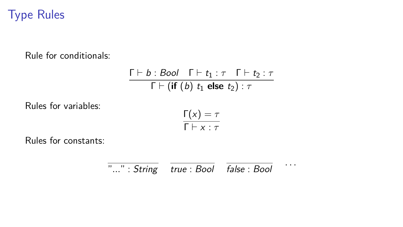# Type Rules

Rule for conditionals:

$$
\frac{\Gamma \vdash b : Bool \quad \Gamma \vdash t_1 : \tau \quad \Gamma \vdash t_2 : \tau}{\Gamma \vdash (\text{if } (b) \ t_1 \text{ else } t_2) : \tau}
$$

Rules for variables:

$$
\frac{\Gamma(x) = \tau}{\Gamma \vdash x : \tau}
$$

Rules for constants:

$$
\overline{\cdot \ldots} \cdot String \quad \overline{true : Bool} \quad \overline{false : Bool} \quad \cdots
$$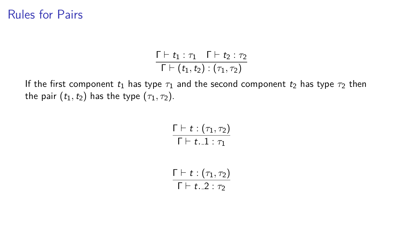#### Rules for Pairs

$$
\frac{\Gamma\vdash t_1:\tau_1\quad \Gamma\vdash t_2:\tau_2}{\Gamma\vdash (t_1,t_2):(\tau_1,\tau_2)}
$$

If the first component  $t_1$  has type  $\tau_1$  and the second component  $t_2$  has type  $\tau_2$  then the pair  $(t_1, t_2)$  has the type  $(\tau_1, \tau_2)$ .

$$
\frac{\Gamma \vdash t : (\tau_1, \tau_2)}{\Gamma \vdash t . . 1 : \tau_1}
$$
\n
$$
\frac{\Gamma \vdash t : (\tau_1, \tau_2)}{\Gamma \vdash t . . 2 : \tau_2}
$$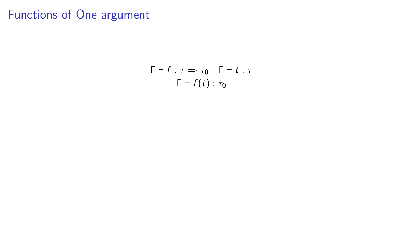### Functions of One argument

 $\Gamma \vdash f : \tau \Rightarrow \tau_0$   $\Gamma \vdash t : \tau$  $\Gamma \vdash f(t) : \tau_0$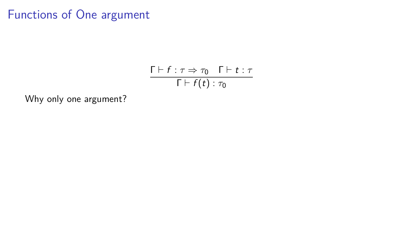## Functions of One argument

$$
\frac{\Gamma \vdash f : \tau \Rightarrow \tau_0 \quad \Gamma \vdash t : \tau}{\Gamma \vdash f(t) : \tau_0}
$$

Why only one argument?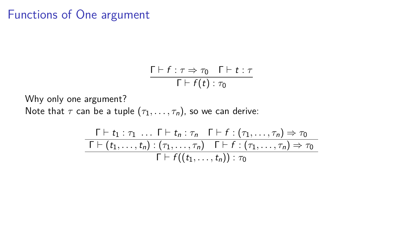### Functions of One argument

$$
\frac{\Gamma \vdash f : \tau \Rightarrow \tau_0 \quad \Gamma \vdash t : \tau}{\Gamma \vdash f(t) : \tau_0}
$$

Why only one argument? Note that  $\tau$  can be a tuple  $(\tau_1, \ldots, \tau_n)$ , so we can derive:

$$
\frac{\Gamma \vdash t_1 : \tau_1 \ldots \Gamma \vdash t_n : \tau_n \quad \Gamma \vdash f : (\tau_1, \ldots, \tau_n) \Rightarrow \tau_0}{\Gamma \vdash (t_1, \ldots, t_n) : (\tau_1, \ldots, \tau_n) \quad \Gamma \vdash f : (\tau_1, \ldots, \tau_n) \Rightarrow \tau_0}{\Gamma \vdash f((t_1, \ldots, t_n)) : \tau_0}
$$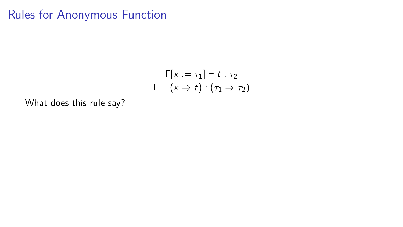$$
\frac{\Gamma[x:=\tau_1] \vdash t : \tau_2}{\Gamma \vdash (x \Rightarrow t) : (\tau_1 \Rightarrow \tau_2)}
$$

What does this rule say?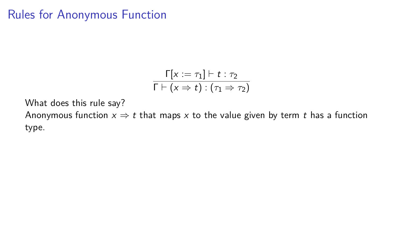$$
\frac{\Gamma[x := \tau_1] \vdash t : \tau_2}{\Gamma \vdash (x \Rightarrow t) : (\tau_1 \Rightarrow \tau_2)}
$$

What does this rule say?

Anonymous function  $x \Rightarrow t$  that maps x to the value given by term t has a function type.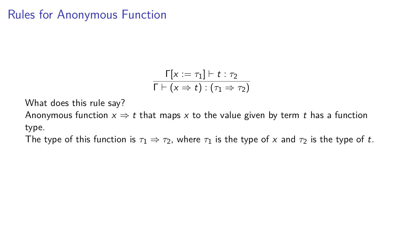$$
\frac{\Gamma[x:=\tau_1]\vdash t:\tau_2}{\Gamma\vdash(x\Rightarrow t):(\tau_1\Rightarrow\tau_2)}
$$

What does this rule say?

Anonymous function  $x \Rightarrow t$  that maps x to the value given by term t has a function type.

The type of this function is  $\tau_1 \Rightarrow \tau_2$ , where  $\tau_1$  is the type of x and  $\tau_2$  is the type of t.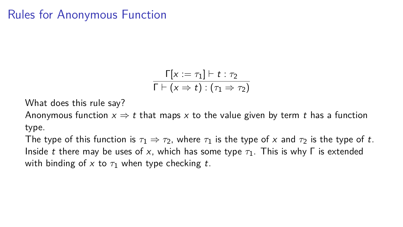$$
\frac{\Gamma[x:=\tau_1]\vdash t:\tau_2}{\Gamma\vdash(x\Rightarrow t):(\tau_1\Rightarrow\tau_2)}
$$

What does this rule say?

Anonymous function  $x \Rightarrow t$  that maps x to the value given by term t has a function type.

The type of this function is  $\tau_1 \Rightarrow \tau_2$ , where  $\tau_1$  is the type of x and  $\tau_2$  is the type of t. Inside t there may be uses of x, which has some type *τ*1. This is why Γ is extended with binding of  $x$  to  $\tau_1$  when type checking t.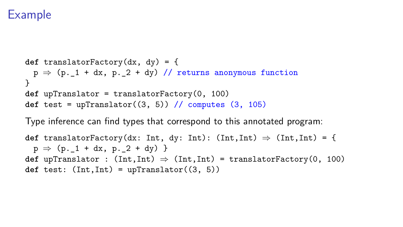## Example

```
def translatorFactory(dx, dy) = {
 p \Rightarrow (p_1 + dx, p_2 + dy) // returns anonymous function
}
def upTranslator = translatorFactory(0, 100)
def test = upTranslator((3, 5)) // computes (3, 105)
```
Type inference can find types that correspond to this annotated program:

```
def translatorFactory(dx: Int, dy: Int): (int, Int) \Rightarrow (Int, Int) = \{p \Rightarrow (p. 1 + dx, p. 2 + dy)}
def upTranslator : (int,Int) \Rightarrow (Int,Int) = translatorFactory(0, 100)def test: (Int,Int) = upTranslator((3, 5))
```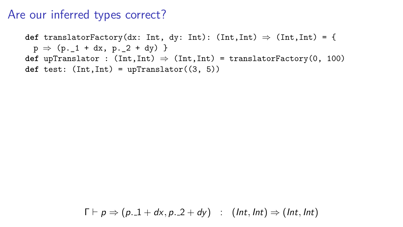#### Are our inferred types correct?

def translatorFactory(dx: Int, dy: Int):  $(int, Int) \Rightarrow (Int, Int) = \{$  $p \Rightarrow (p. 1 + dx, p. 2 + dy)$ } **def** upTranslator :  $(int, Int) \Rightarrow (Int, Int) = translatorFactory(0, 100)$  $def test: (Int, Int) = upTranslator((3, 5))$ 

 $\Gamma \vdash p \Rightarrow (p_{\cdot} \bot + dx, p_{\cdot} \bot 2 + dy)$  :  $(int, Int) \Rightarrow (Int, Int)$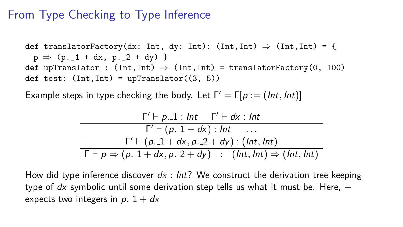## From Type Checking to Type Inference

**def** translatorFactory(dx: Int, dy: Int):  $(Int,Int) \Rightarrow (Int,Int) = \{$  $p \Rightarrow (p. 1 + dx, p. 2 + dy)$ } **def** upTranslator :  $(int,Int) \Rightarrow (Int,Int) = translatorFactory(0, 100)$  $def test: (Int, Int) = upTranslator((3, 5))$ 

Example steps in type checking the body. Let  $\Gamma' = \Gamma[p := (Int, Int)]$ 

$$
\frac{\Gamma' \vdash p. .1 : Int \quad \Gamma' \vdash dx : Int}{\Gamma' \vdash (p. .1 + dx) : Int \quad \dots}
$$
\n
$$
\frac{\Gamma' \vdash (p. .1 + dx) : (Int, Int)}{\Gamma \vdash p \Rightarrow (p. .1 + dx, p. .2 + dy) : (Int, Int) \Rightarrow (Int, Int)}
$$

How did type inference discover  $dx : Int?$  We construct the derivation tree keeping type of dx symbolic until some derivation step tells us what it must be. Here,  $+$ expects two integers in  $p.1 + dx$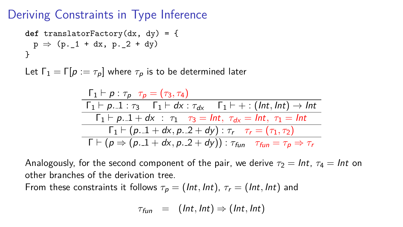#### Deriving Constraints in Type Inference

$$
\begin{array}{lcl} \texttt{def} \; \texttt{translatorFactory}(dx, \; dy) = \{ \\ \; p \; \Rightarrow \; (p \ldotp_1 + dx, \; p \ldotp_2 + dy) \\ \; \} \end{array}
$$

Let  $\Gamma_1 = \Gamma[p := \tau_p]$  where  $\tau_p$  is to be determined later

$$
\frac{\Gamma_1 \vdash p : \tau_p \quad \tau_p = (\tau_3, \tau_4)}{\Gamma_1 \vdash p. 1 : \tau_3 \quad \Gamma_1 \vdash dx : \tau_{dx} \quad \Gamma_1 \vdash + : (Int, Int) \rightarrow Int} \n\frac{\Gamma_1 \vdash p. 1 + dx : \tau_1 \quad \tau_3 = Int, \ \tau_{dx} = Int, \ \tau_1 = Int} \n\frac{\Gamma_1 \vdash (p. 1 + dx, p. 2 + dy) : \tau_r \quad \tau_r = (\tau_1, \tau_2)}{\Gamma \vdash (p \Rightarrow (p. 1 + dx, p. 2 + dy)) : \tau_{fun} \quad \tau_{fun} = \tau_p \Rightarrow \tau_r}
$$

Analogously, for the second component of the pair, we derive  $\tau_2 = Int$ ,  $\tau_4 = Int$  on other branches of the derivation tree.

From these constraints it follows  $\tau_p = (Int, Int), \tau_r = (Int, Int)$  and

$$
\tau_{\text{fun}} = (\text{Int}, \text{Int}) \Rightarrow (\text{Int}, \text{Int})
$$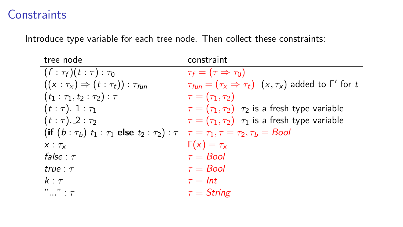### **Constraints**

Introduce type variable for each tree node. Then collect these constraints:

| tree node                                                                                                       | constraint                                                                        |
|-----------------------------------------------------------------------------------------------------------------|-----------------------------------------------------------------------------------|
| $(f : \tau_f)(t : \tau) : \tau_0$                                                                               | $\tau_f = (\tau \Rightarrow \tau_0)$                                              |
| $((x : \tau_x) \Rightarrow (t : \tau_t)) : \tau_{fun}$                                                          | $\tau_{fin} = (\tau_x \Rightarrow \tau_t)$ $(x, \tau_x)$ added to $\Gamma'$ for t |
| $(t_1 : \tau_1, t_2 : \tau_2) : \tau$                                                                           | $\tau=(\tau_1,\tau_2)$                                                            |
| $(t:\tau)_{-1}:\tau_1$                                                                                          | $\tau = (\tau_1, \tau_2)$ $\tau_2$ is a fresh type variable                       |
| $(t:\tau)_{-2}:\tau_2$                                                                                          | $\tau = (\tau_1, \tau_2)$ $\tau_1$ is a fresh type variable                       |
| (if $(b:\tau_b)$ $t_1:\tau_1$ else $t_2:\tau_2$ ) : $\tau   \tau = \tau_1, \tau = \tau_2, \tau_b = \text{Bool}$ |                                                                                   |
| $X: \tau_{x}$                                                                                                   | $\Gamma(x) = \tau_x$<br>$\tau = Bool$                                             |
| false : $\tau$                                                                                                  |                                                                                   |
| true : $\tau$                                                                                                   | $\tau = \textit{Bool}$                                                            |
| $k : \tau$                                                                                                      | $\tau = Int$                                                                      |
| $"" : \tau$                                                                                                     | $\tau =$ String                                                                   |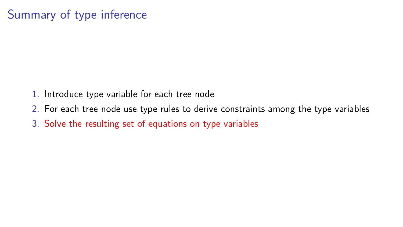# Summary of type inference

- 1. Introduce type variable for each tree node
- 2. For each tree node use type rules to derive constraints among the type variables
- 3. Solve the resulting set of equations on type variables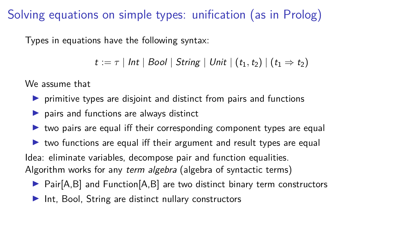Solving equations on simple types: unification (as in Prolog)

Types in equations have the following syntax:

 $t := \tau | Int | Bool | String | Unit | (t_1, t_2) | (t_1 \Rightarrow t_2)$ 

We assume that

- $\triangleright$  primitive types are disjoint and distinct from pairs and functions
- $\triangleright$  pairs and functions are always distinct
- $\triangleright$  two pairs are equal iff their corresponding component types are equal
- $\triangleright$  two functions are equal iff their argument and result types are equal Idea: eliminate variables, decompose pair and function equalities. Algorithm works for any term algebra (algebra of syntactic terms)
	- $\triangleright$  Pair[A,B] and Function[A,B] are two distinct binary term constructors
	- $\blacktriangleright$  Int, Bool, String are distinct nullary constructors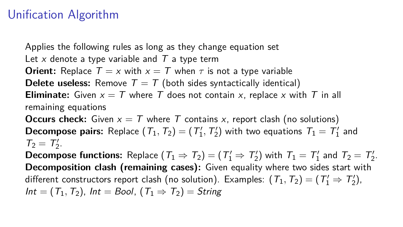## Unification Algorithm

Applies the following rules as long as they change equation set Let x denote a type variable and  $T$  a type term **Orient:** Replace  $T = x$  with  $x = T$  when  $\tau$  is not a type variable **Delete useless:** Remove  $T = T$  (both sides syntactically identical) **Eliminate:** Given  $x = T$  where T does not contain x, replace x with T in all remaining equations

**Occurs check:** Given  $x = T$  where T contains x, report clash (no solutions) **Decompose pairs:** Replace  $(T_1, T_2) = (T'_1, T'_2)$  with two equations  $T_1 = T'_1$  and  $T_2 = T'_2$ .

**Decompose functions:** Replace  $(T_1 \Rightarrow T_2) = (T_1' \Rightarrow T_2')$  with  $T_1 = T_1'$  and  $T_2 = T_2'$ . **Decomposition clash (remaining cases):** Given equality where two sides start with different constructors report clash (no solution). Examples:  $(\mathcal{T}_1, \mathcal{T}_2) = (\mathcal{T}'_1 \Rightarrow \mathcal{T}'_2)$ ,  $Int = (T_1, T_2)$ ,  $Int = Bool$ ,  $(T_1 \Rightarrow T_2) = String$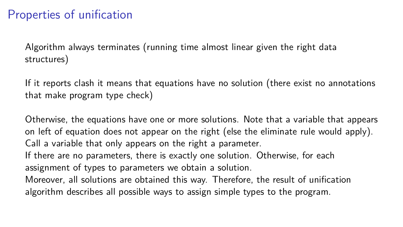## Properties of unification

Algorithm always terminates (running time almost linear given the right data structures)

If it reports clash it means that equations have no solution (there exist no annotations that make program type check)

Otherwise, the equations have one or more solutions. Note that a variable that appears on left of equation does not appear on the right (else the eliminate rule would apply). Call a variable that only appears on the right a parameter. If there are no parameters, there is exactly one solution. Otherwise, for each assignment of types to parameters we obtain a solution.

Moreover, all solutions are obtained this way. Therefore, the result of unification algorithm describes all possible ways to assign simple types to the program.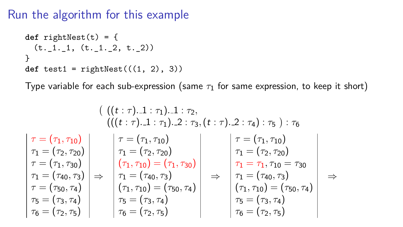## Run the algorithm for this example

```
def rightNest(t) = {
 (t. 1.1, (t. 1.2, t.2))}
def test1 = rightNest(((1, 2), 3))
```
Type variable for each sub-expression (same  $\tau_1$  for same expression, to keep it short)

$$
\tau = (\tau_1, \tau_{10})
$$
\n
$$
\tau = (\tau_1, \tau_{10})
$$
\n
$$
\tau = (\tau_1, \tau_{20})
$$
\n
$$
\tau = (\tau_1, \tau_{30})
$$
\n
$$
\tau = (\tau_2, \tau_{20})
$$
\n
$$
\tau = (\tau_1, \tau_{30})
$$
\n
$$
\tau = (\tau_{30}, \tau_{4})
$$
\n
$$
\tau = (\tau_{31}, \tau_{41})
$$
\n
$$
\tau = (\tau_{31}, \tau_{42})
$$
\n
$$
\tau = (\tau_{32}, \tau_{43})
$$
\n
$$
\tau = (\tau_{33}, \tau_{41})
$$
\n
$$
\tau_0 = (\tau_2, \tau_1)
$$
\n
$$
\tau_1 = (\tau_2, \tau_{20})
$$
\n
$$
\tau_2 = (\tau_1, \tau_{20})
$$
\n
$$
\tau_1 = (\tau_2, \tau_{20})
$$
\n
$$
\tau_1 = (\tau_1, \tau_{10})
$$
\n
$$
\tau_1 = (\tau_1, \tau_{10})
$$
\n
$$
\tau_1 = (\tau_1, \tau_{10})
$$
\n
$$
\tau_1 = (\tau_1, \tau_{10}) = (\tau_1, \tau_{11})
$$
\n
$$
\tau_1 = (\tau_2, \tau_2)
$$
\n
$$
\tau_1 = (\tau_3, \tau_3)
$$
\n
$$
\tau_2 = (\tau_3, \tau_4)
$$
\n
$$
\tau_3 = (\tau_3, \tau_4)
$$
\n
$$
\tau_4 = (\tau_2, \tau_5)
$$
\n
$$
\tau_5 = (\tau_3, \tau_4)
$$
\n
$$
\tau_6 = (\tau_2, \tau_5)
$$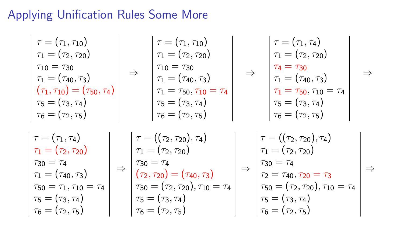# Applying Unification Rules Some More

$$
\begin{array}{c|c|c|c|c|c|c|c|c} \hline \tau = (\tau_1, \tau_{10}) & \tau_1 = (\tau_2, \tau_{20}) & \tau_1 = (\tau_2, \tau_{20}) & \tau_1 = (\tau_4, \tau_3) & \tau_1 = (\tau_{40}, \tau_3) & \tau_1 = (\tau_{40}, \tau_3) & \tau_1 = (\tau_{40}, \tau_3) & \tau_1 = (\tau_{40}, \tau_3) & \tau_1 = (\tau_{40}, \tau_3) & \tau_1 = (\tau_{40}, \tau_3) & \tau_1 = (\tau_{40}, \tau_3) & \tau_1 = (\tau_{40}, \tau_3) & \tau_1 = (\tau_{40}, \tau_3) & \tau_1 = (\tau_{40}, \tau_3) & \tau_1 = (\tau_{40}, \tau_3) & \tau_1 = (\tau_{40}, \tau_1) & \tau_1 = (\tau_2, \tau_2) & \tau_1 = (\tau_2, \tau_2) & \tau_1 = (\tau_2, \tau_2) & \tau_1 = (\tau_2, \tau_2) & \tau_1 = (\tau_2, \tau_2) & \tau_1 = (\tau_2, \tau_2) & \tau_1 = (\tau_2, \tau_2) & \tau_1 = (\tau_2, \tau_2) & \tau_1 = (\tau_2, \tau_2) & \tau_1 = (\tau_2, \tau_2) & \tau_1 = (\tau_2, \tau_2) & \tau_1 = (\tau_2, \tau_2) & \tau_1 = (\tau_2, \tau_2) & \tau_2 = \tau_4 & \tau_1 = (\tau_4, \tau_3) & \tau_5 = \tau_1, \tau_{10} = \tau_4 & \tau_5 = (\tau_3, \tau_4) & \tau_6 = (\tau_2, \tau_5) & \tau_7 = (\tau_3, \tau_4) & \tau_7 = (\tau_2, \tau_5) & \tau_8 = (\tau_3, \tau_4) & \tau_9 = (\tau_2, \tau_5) & \tau_1 = (\tau_2, \tau_5) & \tau_1 = (\tau_3, \tau_4) & \
$$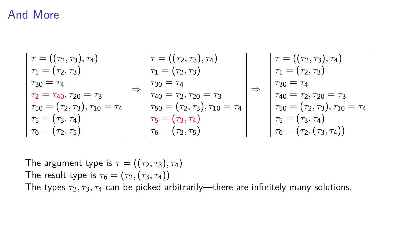#### And More

$$
\tau = ((\tau_2, \tau_3), \tau_4)
$$
\n
$$
\tau_1 = (\tau_2, \tau_3)
$$
\n
$$
\tau_3 = \tau_4
$$
\n
$$
\tau_2 = \tau_{40}, \tau_{20} = \tau_3
$$
\n
$$
\tau_5 = (\tau_2, \tau_3), \tau_{10} = \tau_4
$$
\n
$$
\tau_6 = (\tau_2, \tau_5)
$$
\n
$$
\tau_7 = (\tau_2, \tau_3)
$$
\n
$$
\tau_8 = (\tau_3, \tau_4)
$$
\n
$$
\tau_9 = (\tau_2, \tau_5)
$$
\n
$$
\tau_{10} = (\tau_2, \tau_3)
$$
\n
$$
\tau_{21} = (\tau_2, \tau_3)
$$
\n
$$
\tau_{30} = \tau_4
$$
\n
$$
\tau_{40} = \tau_2, \tau_{20} = \tau_3
$$
\n
$$
\tau_{50} = (\tau_2, \tau_3), \tau_{10} = \tau_4
$$
\n
$$
\tau_{6} = (\tau_3, \tau_4)
$$
\n
$$
\tau_{75} = (\tau_3, \tau_4)
$$
\n
$$
\tau_{8} = (\tau_2, \tau_5)
$$
\n
$$
\tau_{9} = (\tau_2, \tau_{10})
$$
\n
$$
\tau_{11} = (\tau_2, \tau_3)
$$
\n
$$
\tau_{12} = (\tau_2, \tau_3)
$$
\n
$$
\tau_{13} = (\tau_4, \tau_4)
$$
\n
$$
\tau_{14} = (\tau_2, \tau_3)
$$
\n
$$
\tau_{15} = (\tau_3, \tau_4)
$$
\n
$$
\tau_{16} = (\tau_2, (\tau_3, \tau_4))
$$
\n
$$
\tau_{17} = (\tau_2, \tau_3)
$$
\n
$$
\tau_{18} = (\tau_3, \tau_4)
$$
\n
$$
\tau_{19} = (\tau_2, \tau_3)
$$
\n
$$
\tau_{10} = \tau_4
$$
\n
$$
\tau_{11} = (\tau_2, \tau_3)
$$
\n
$$
\tau_{12} = (\tau_3, \tau_4)
$$
\n

The argument type is  $\tau = ((\tau_2, \tau_3), \tau_4)$ The result type is  $\tau_6 = (\tau_2, (\tau_3, \tau_4))$ The types *τ*2*, τ*3*, τ*<sup>4</sup> can be picked arbitrarily—there are infinitely many solutions.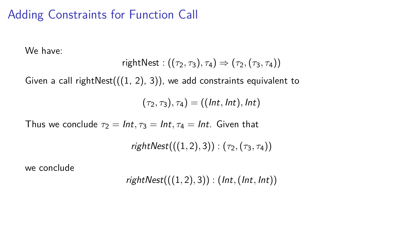## Adding Constraints for Function Call

We have:

$$
\mathsf{rightNest} : ((\tau_2, \tau_3), \tau_4) \Rightarrow (\tau_2, (\tau_3, \tau_4))
$$

Given a call rightNest $(((1, 2), 3))$ , we add constraints equivalent to

 $(\tau_2, \tau_3), \tau_4) = ((\text{Int}, \text{Int}), \text{Int})$ 

Thus we conclude  $\tau_2 = Int, \tau_3 = Int, \tau_4 = Int$ . Given that

 $rightNest(((1, 2), 3)) : (\tau_2, (\tau_3, \tau_4))$ 

we conclude

$$
rightNest(((1,2),3)) : (Int, (Int, Int))
$$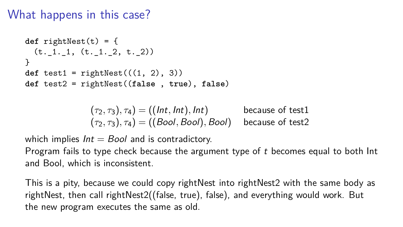#### What happens in this case?

```
def rightNest(t) = {
 (t. 1.1, (t. 1.2, t.2))}
def test1 = rightNest(((1, 2), 3))def test2 = rightNest((false , true), false)
```

$$
(\tau_2, \tau_3), \tau_4) = ((Int, Int), Int)
$$
 because of test1  

$$
(\tau_2, \tau_3), \tau_4) = ((Bool, Bool), Bool)
$$
 because of test2

which implies  $Int = Bool$  and is contradictory.

Program fails to type check because the argument type of  $t$  becomes equal to both  $Int$ and Bool, which is inconsistent.

This is a pity, because we could copy rightNest into rightNest2 with the same body as rightNest, then call rightNest2((false, true), false), and everything would work. But the new program executes the same as old.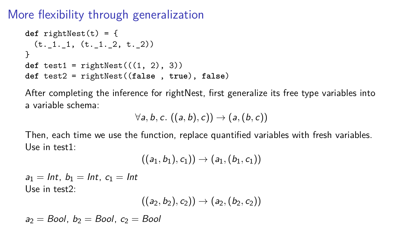More flexibility through generalization

```
def rightNest(t) = {
 (t. 1. 1. (t. 1. 2, t. 2))}
def test1 = rightNest(((1, 2), 3))def test2 = rightNest((false , true), false)
```
After completing the inference for rightNest, first generalize its free type variables into a variable schema:

$$
\forall a, b, c. ((a, b), c)) \rightarrow (a, (b, c))
$$

Then, each time we use the function, replace quantified variables with fresh variables. Use in test1:

$$
((a_1,b_1),c_1))\to (a_1,(b_1,c_1))
$$

 $a_1 = Int, b_1 = Int, c_1 = Int$ Use in test2:

$$
((a_2,b_2),c_2))\to(a_2,(b_2,c_2))
$$

 $a_2 =$  Bool,  $b_2 =$  Bool,  $c_2 =$  Bool